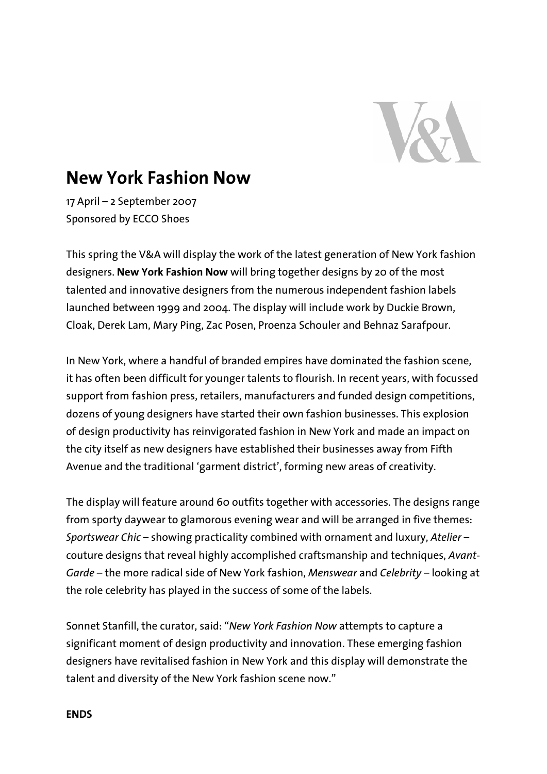

# **New York Fashion Now**

17 April – 2 September 2007 Sponsored by ECCO Shoes

This spring the V&A will display the work of the latest generation of New York fashion designers. **New York Fashion Now** will bring together designs by 20 of the most talented and innovative designers from the numerous independent fashion labels launched between 1999 and 2004. The display will include work by Duckie Brown, Cloak, Derek Lam, Mary Ping, Zac Posen, Proenza Schouler and Behnaz Sarafpour.

In New York, where a handful of branded empires have dominated the fashion scene, it has often been difficult for younger talents to flourish. In recent years, with focussed support from fashion press, retailers, manufacturers and funded design competitions, dozens of young designers have started their own fashion businesses. This explosion of design productivity has reinvigorated fashion in New York and made an impact on the city itself as new designers have established their businesses away from Fifth Avenue and the traditional 'garment district', forming new areas of creativity.

The display will feature around 60 outfits together with accessories. The designs range from sporty daywear to glamorous evening wear and will be arranged in five themes: *Sportswear Chic* – showing practicality combined with ornament and luxury, *Atelier* – couture designs that reveal highly accomplished craftsmanship and techniques, *Avant-Garde* – the more radical side of New York fashion, *Menswear* and *Celebrity* – looking at the role celebrity has played in the success of some of the labels.

Sonnet Stanfill, the curator, said: "*New York Fashion Now* attempts to capture a significant moment of design productivity and innovation. These emerging fashion designers have revitalised fashion in New York and this display will demonstrate the talent and diversity of the New York fashion scene now."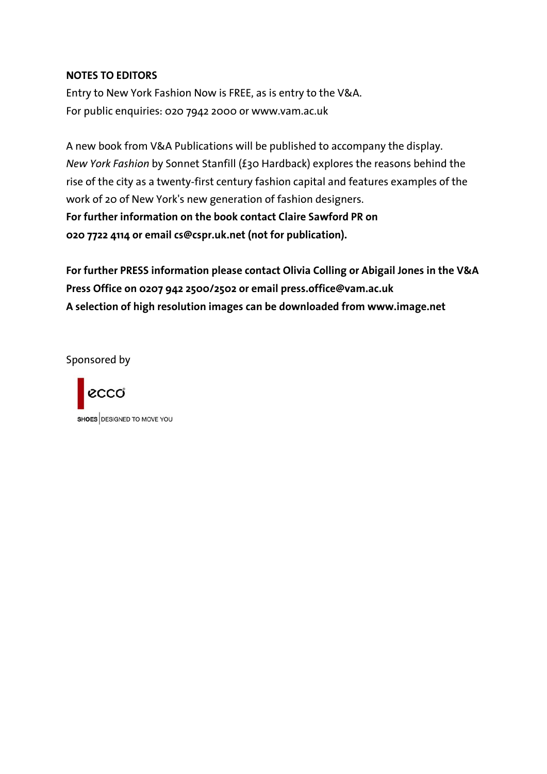## **NOTES TO EDITORS**

Entry to New York Fashion Now is FREE, as is entry to the V&A. For public enquiries: 020 7942 2000 or www.vam.ac.uk

A new book from V&A Publications will be published to accompany the display. *New York Fashion* by Sonnet Stanfill (£30 Hardback) explores the reasons behind the rise of the city as a twenty-first century fashion capital and features examples of the work of 20 of New York's new generation of fashion designers. **For further information on the book contact Claire Sawford PR on 020 7722 4114 or email cs@cspr.uk.net (not for publication).** 

**For further PRESS information please contact Olivia Colling or Abigail Jones in the V&A Press Office on 0207 942 2500/2502 or email press.office@vam.ac.uk A selection of high resolution images can be downloaded from www.image.net** 

Sponsored by

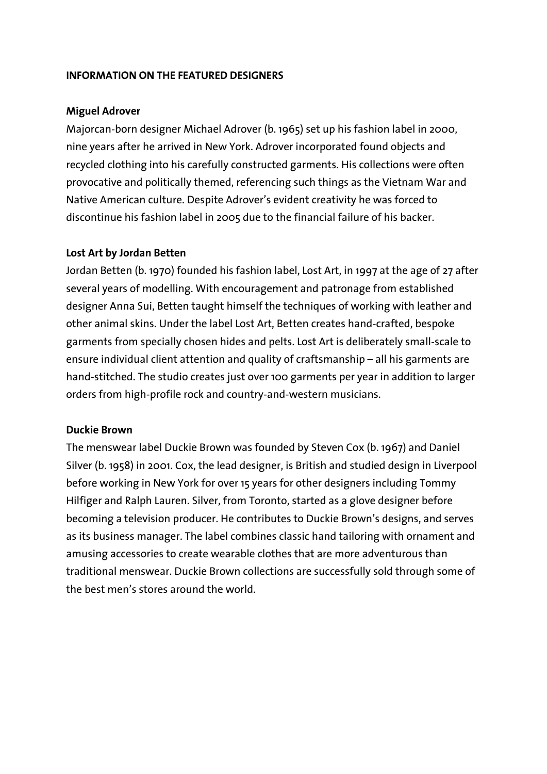## **INFORMATION ON THE FEATURED DESIGNERS**

## **Miguel Adrover**

Majorcan-born designer Michael Adrover (b. 1965) set up his fashion label in 2000, nine years after he arrived in New York. Adrover incorporated found objects and recycled clothing into his carefully constructed garments. His collections were often provocative and politically themed, referencing such things as the Vietnam War and Native American culture. Despite Adrover's evident creativity he was forced to discontinue his fashion label in 2005 due to the financial failure of his backer.

## **Lost Art by Jordan Betten**

Jordan Betten (b. 1970) founded his fashion label, Lost Art, in 1997 at the age of 27 after several years of modelling. With encouragement and patronage from established designer Anna Sui, Betten taught himself the techniques of working with leather and other animal skins. Under the label Lost Art, Betten creates hand-crafted, bespoke garments from specially chosen hides and pelts. Lost Art is deliberately small-scale to ensure individual client attention and quality of craftsmanship – all his garments are hand-stitched. The studio creates just over 100 garments per year in addition to larger orders from high-profile rock and country-and-western musicians.

## **Duckie Brown**

The menswear label Duckie Brown was founded by Steven Cox (b. 1967) and Daniel Silver (b. 1958) in 2001. Cox, the lead designer, is British and studied design in Liverpool before working in New York for over 15 years for other designers including Tommy Hilfiger and Ralph Lauren. Silver, from Toronto, started as a glove designer before becoming a television producer. He contributes to Duckie Brown's designs, and serves as its business manager. The label combines classic hand tailoring with ornament and amusing accessories to create wearable clothes that are more adventurous than traditional menswear. Duckie Brown collections are successfully sold through some of the best men's stores around the world.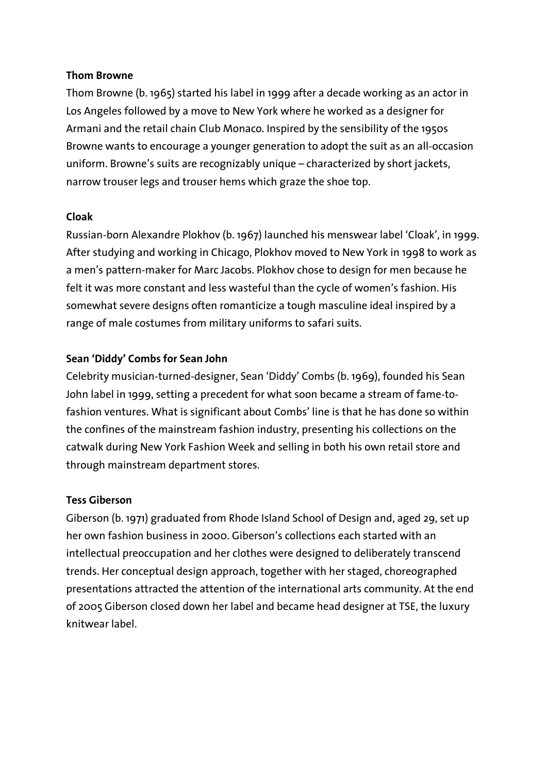## **Thom Browne**

Thom Browne (b. 1965) started his label in 1999 after a decade working as an actor in Los Angeles followed by a move to New York where he worked as a designer for Armani and the retail chain Club Monaco. Inspired by the sensibility of the 1950s Browne wants to encourage a younger generation to adopt the suit as an all-occasion uniform. Browne's suits are recognizably unique – characterized by short jackets, narrow trouser legs and trouser hems which graze the shoe top.

# **Cloak**

Russian-born Alexandre Plokhov (b. 1967) launched his menswear label 'Cloak', in 1999. After studying and working in Chicago, Plokhov moved to New York in 1998 to work as a men's pattern-maker for Marc Jacobs. Plokhov chose to design for men because he felt it was more constant and less wasteful than the cycle of women's fashion. His somewhat severe designs often romanticize a tough masculine ideal inspired by a range of male costumes from military uniforms to safari suits.

## **Sean 'Diddy' Combs for Sean John**

Celebrity musician-turned-designer, Sean 'Diddy' Combs (b. 1969), founded his Sean John label in 1999, setting a precedent for what soon became a stream of fame-tofashion ventures. What is significant about Combs' line is that he has done so within the confines of the mainstream fashion industry, presenting his collections on the catwalk during New York Fashion Week and selling in both his own retail store and through mainstream department stores.

## **Tess Giberson**

Giberson (b. 1971) graduated from Rhode Island School of Design and, aged 29, set up her own fashion business in 2000. Giberson's collections each started with an intellectual preoccupation and her clothes were designed to deliberately transcend trends. Her conceptual design approach, together with her staged, choreographed presentations attracted the attention of the international arts community. At the end of 2005 Giberson closed down her label and became head designer at TSE, the luxury knitwear label.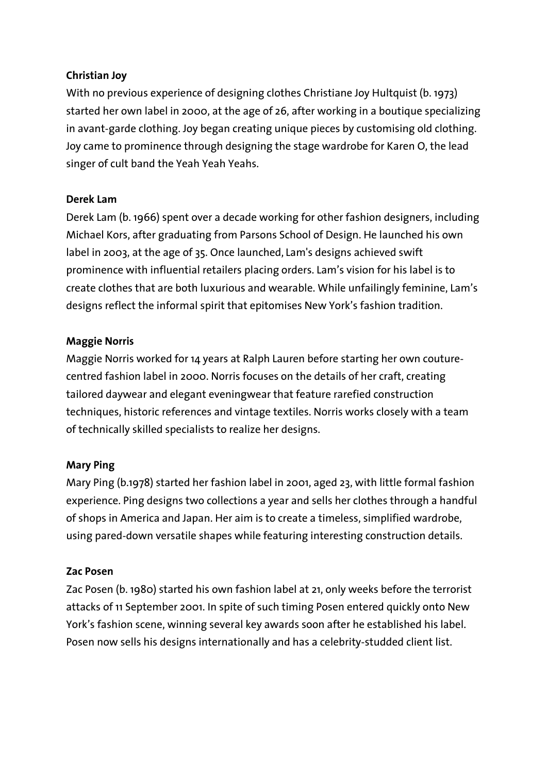# **Christian Joy**

With no previous experience of designing clothes Christiane Joy Hultquist (b. 1973) started her own label in 2000, at the age of 26, after working in a boutique specializing in avant-garde clothing. Joy began creating unique pieces by customising old clothing. Joy came to prominence through designing the stage wardrobe for Karen O, the lead singer of cult band the Yeah Yeah Yeahs.

# **Derek Lam**

Derek Lam (b. 1966) spent over a decade working for other fashion designers, including Michael Kors, after graduating from Parsons School of Design. He launched his own label in 2003, at the age of 35. Once launched, Lam's designs achieved swift prominence with influential retailers placing orders. Lam's vision for his label is to create clothes that are both luxurious and wearable. While unfailingly feminine, Lam's designs reflect the informal spirit that epitomises New York's fashion tradition.

# **Maggie Norris**

Maggie Norris worked for 14 years at Ralph Lauren before starting her own couturecentred fashion label in 2000. Norris focuses on the details of her craft, creating tailored daywear and elegant eveningwear that feature rarefied construction techniques, historic references and vintage textiles. Norris works closely with a team of technically skilled specialists to realize her designs.

# **Mary Ping**

Mary Ping (b.1978) started her fashion label in 2001, aged 23, with little formal fashion experience. Ping designs two collections a year and sells her clothes through a handful of shops in America and Japan. Her aim is to create a timeless, simplified wardrobe, using pared-down versatile shapes while featuring interesting construction details.

# **Zac Posen**

Zac Posen (b. 1980) started his own fashion label at 21, only weeks before the terrorist attacks of 11 September 2001. In spite of such timing Posen entered quickly onto New York's fashion scene, winning several key awards soon after he established his label. Posen now sells his designs internationally and has a celebrity-studded client list.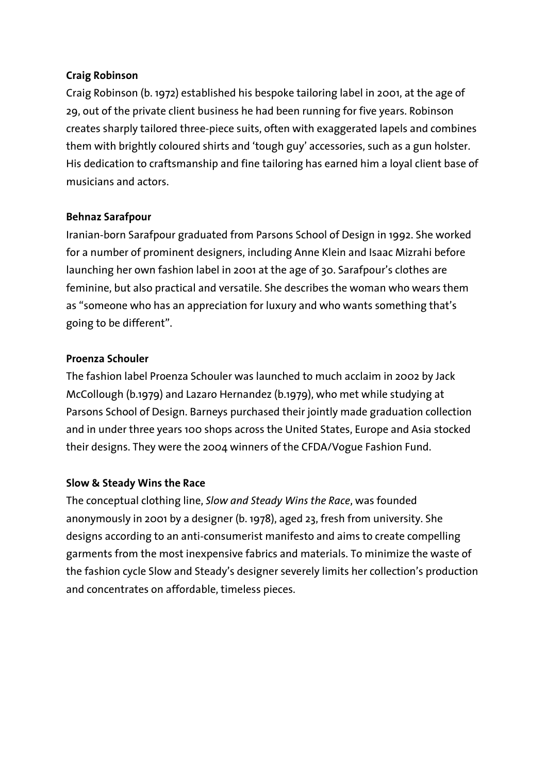## **Craig Robinson**

Craig Robinson (b. 1972) established his bespoke tailoring label in 2001, at the age of 29, out of the private client business he had been running for five years. Robinson creates sharply tailored three-piece suits, often with exaggerated lapels and combines them with brightly coloured shirts and 'tough guy' accessories, such as a gun holster. His dedication to craftsmanship and fine tailoring has earned him a loyal client base of musicians and actors.

# **Behnaz Sarafpour**

Iranian-born Sarafpour graduated from Parsons School of Design in 1992. She worked for a number of prominent designers, including Anne Klein and Isaac Mizrahi before launching her own fashion label in 2001 at the age of 30. Sarafpour's clothes are feminine, but also practical and versatile. She describes the woman who wears them as "someone who has an appreciation for luxury and who wants something that's going to be different".

## **Proenza Schouler**

The fashion label Proenza Schouler was launched to much acclaim in 2002 by Jack McCollough (b.1979) and Lazaro Hernandez (b.1979), who met while studying at Parsons School of Design. Barneys purchased their jointly made graduation collection and in under three years 100 shops across the United States, Europe and Asia stocked their designs. They were the 2004 winners of the CFDA/Vogue Fashion Fund.

# **Slow & Steady Wins the Race**

The conceptual clothing line, *Slow and Steady Wins the Race*, was founded anonymously in 2001 by a designer (b. 1978), aged 23, fresh from university. She designs according to an anti-consumerist manifesto and aims to create compelling garments from the most inexpensive fabrics and materials. To minimize the waste of the fashion cycle Slow and Steady's designer severely limits her collection's production and concentrates on affordable, timeless pieces.